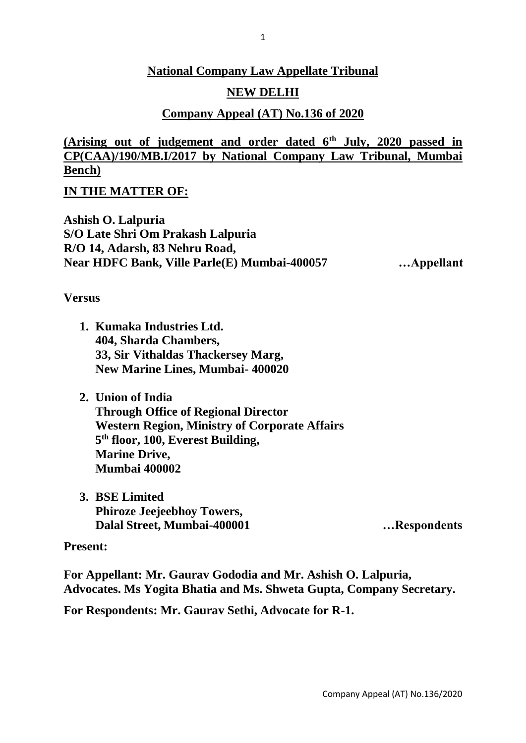## **National Company Law Appellate Tribunal**

## **NEW DELHI**

## **Company Appeal (AT) No.136 of 2020**

**(Arising out of judgement and order dated 6th July, 2020 passed in CP(CAA)/190/MB.I/2017 by National Company Law Tribunal, Mumbai Bench)**

**IN THE MATTER OF:**

**Ashish O. Lalpuria S/O Late Shri Om Prakash Lalpuria R/O 14, Adarsh, 83 Nehru Road, Near HDFC Bank, Ville Parle(E) Mumbai-400057 …Appellant**

**Versus**

- **1. Kumaka Industries Ltd. 404, Sharda Chambers, 33, Sir Vithaldas Thackersey Marg, New Marine Lines, Mumbai- 400020**
- **2. Union of India Through Office of Regional Director Western Region, Ministry of Corporate Affairs 5 th floor, 100, Everest Building, Marine Drive, Mumbai 400002**
- **3. BSE Limited Phiroze Jeejeebhoy Towers, Dalal Street, Mumbai-400001 …Respondents**

### **Present:**

**For Appellant: Mr. Gaurav Gododia and Mr. Ashish O. Lalpuria, Advocates. Ms Yogita Bhatia and Ms. Shweta Gupta, Company Secretary.**

**For Respondents: Mr. Gaurav Sethi, Advocate for R-1.**

Company Appeal (AT) No.136/2020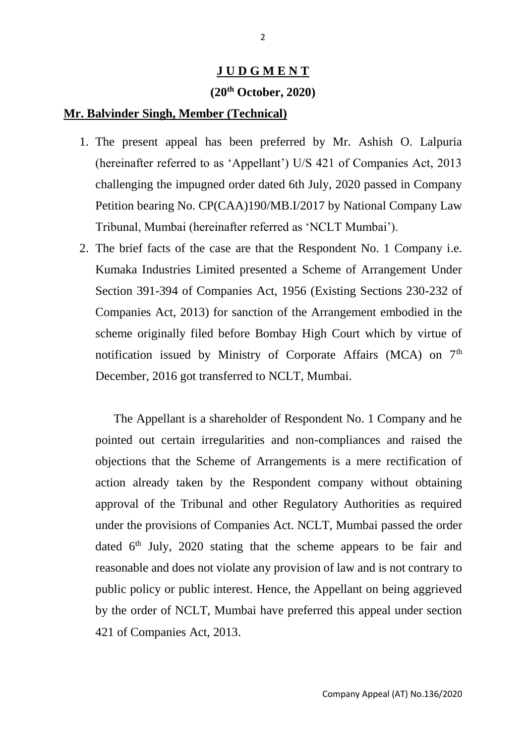#### **J U D G M E N T**

# **(20th October, 2020)**

### **Mr. Balvinder Singh, Member (Technical)**

- 1. The present appeal has been preferred by Mr. Ashish O. Lalpuria (hereinafter referred to as 'Appellant') U/S 421 of Companies Act, 2013 challenging the impugned order dated 6th July, 2020 passed in Company Petition bearing No. CP(CAA)190/MB.I/2017 by National Company Law Tribunal, Mumbai (hereinafter referred as 'NCLT Mumbai').
- 2. The brief facts of the case are that the Respondent No. 1 Company i.e. Kumaka Industries Limited presented a Scheme of Arrangement Under Section 391-394 of Companies Act, 1956 (Existing Sections 230-232 of Companies Act, 2013) for sanction of the Arrangement embodied in the scheme originally filed before Bombay High Court which by virtue of notification issued by Ministry of Corporate Affairs (MCA) on  $7<sup>th</sup>$ December, 2016 got transferred to NCLT, Mumbai.

The Appellant is a shareholder of Respondent No. 1 Company and he pointed out certain irregularities and non-compliances and raised the objections that the Scheme of Arrangements is a mere rectification of action already taken by the Respondent company without obtaining approval of the Tribunal and other Regulatory Authorities as required under the provisions of Companies Act. NCLT, Mumbai passed the order dated  $6<sup>th</sup>$  July, 2020 stating that the scheme appears to be fair and reasonable and does not violate any provision of law and is not contrary to public policy or public interest. Hence, the Appellant on being aggrieved by the order of NCLT, Mumbai have preferred this appeal under section 421 of Companies Act, 2013.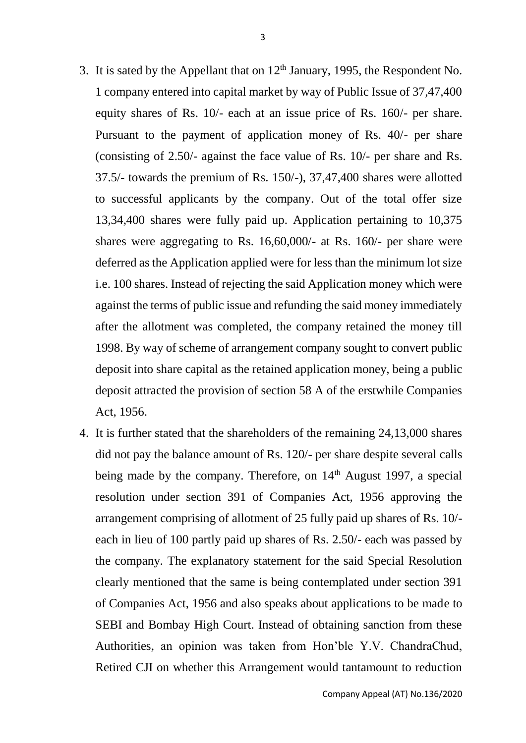- 3. It is sated by the Appellant that on  $12<sup>th</sup>$  January, 1995, the Respondent No. 1 company entered into capital market by way of Public Issue of 37,47,400 equity shares of Rs. 10/- each at an issue price of Rs. 160/- per share. Pursuant to the payment of application money of Rs. 40/- per share (consisting of 2.50/- against the face value of Rs. 10/- per share and Rs. 37.5/- towards the premium of Rs. 150/-), 37,47,400 shares were allotted to successful applicants by the company. Out of the total offer size 13,34,400 shares were fully paid up. Application pertaining to 10,375 shares were aggregating to Rs. 16,60,000/- at Rs. 160/- per share were deferred as the Application applied were for less than the minimum lot size i.e. 100 shares. Instead of rejecting the said Application money which were against the terms of public issue and refunding the said money immediately after the allotment was completed, the company retained the money till 1998. By way of scheme of arrangement company sought to convert public deposit into share capital as the retained application money, being a public deposit attracted the provision of section 58 A of the erstwhile Companies Act, 1956.
- 4. It is further stated that the shareholders of the remaining 24,13,000 shares did not pay the balance amount of Rs. 120/- per share despite several calls being made by the company. Therefore, on 14<sup>th</sup> August 1997, a special resolution under section 391 of Companies Act, 1956 approving the arrangement comprising of allotment of 25 fully paid up shares of Rs. 10/ each in lieu of 100 partly paid up shares of Rs. 2.50/- each was passed by the company. The explanatory statement for the said Special Resolution clearly mentioned that the same is being contemplated under section 391 of Companies Act, 1956 and also speaks about applications to be made to SEBI and Bombay High Court. Instead of obtaining sanction from these Authorities, an opinion was taken from Hon'ble Y.V. ChandraChud, Retired CJI on whether this Arrangement would tantamount to reduction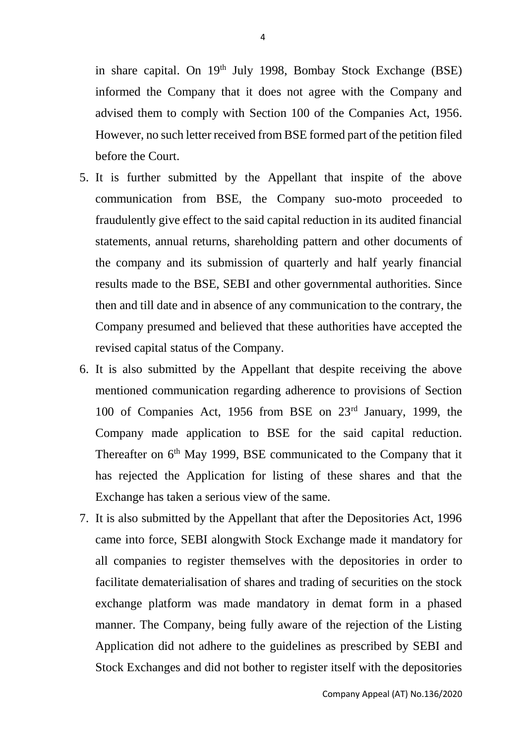in share capital. On 19<sup>th</sup> July 1998, Bombay Stock Exchange (BSE) informed the Company that it does not agree with the Company and advised them to comply with Section 100 of the Companies Act, 1956. However, no such letter received from BSE formed part of the petition filed before the Court.

- 5. It is further submitted by the Appellant that inspite of the above communication from BSE, the Company suo-moto proceeded to fraudulently give effect to the said capital reduction in its audited financial statements, annual returns, shareholding pattern and other documents of the company and its submission of quarterly and half yearly financial results made to the BSE, SEBI and other governmental authorities. Since then and till date and in absence of any communication to the contrary, the Company presumed and believed that these authorities have accepted the revised capital status of the Company.
- 6. It is also submitted by the Appellant that despite receiving the above mentioned communication regarding adherence to provisions of Section 100 of Companies Act, 1956 from BSE on 23rd January, 1999, the Company made application to BSE for the said capital reduction. Thereafter on  $6<sup>th</sup>$  May 1999, BSE communicated to the Company that it has rejected the Application for listing of these shares and that the Exchange has taken a serious view of the same.
- 7. It is also submitted by the Appellant that after the Depositories Act, 1996 came into force, SEBI alongwith Stock Exchange made it mandatory for all companies to register themselves with the depositories in order to facilitate dematerialisation of shares and trading of securities on the stock exchange platform was made mandatory in demat form in a phased manner. The Company, being fully aware of the rejection of the Listing Application did not adhere to the guidelines as prescribed by SEBI and Stock Exchanges and did not bother to register itself with the depositories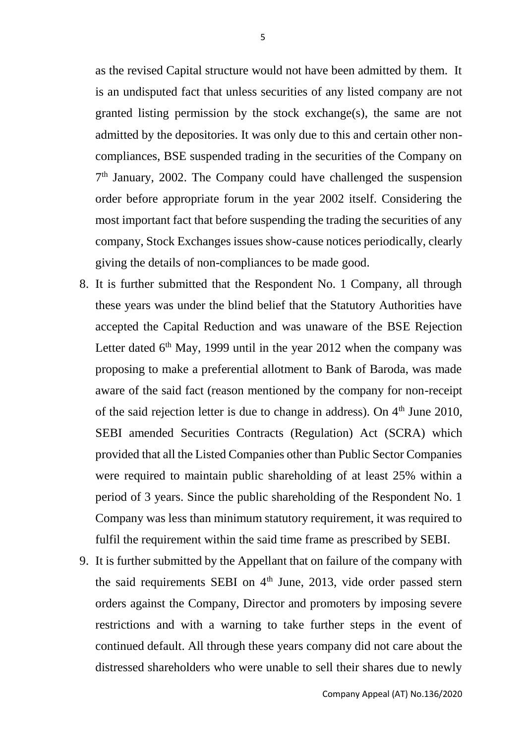as the revised Capital structure would not have been admitted by them. It is an undisputed fact that unless securities of any listed company are not granted listing permission by the stock exchange(s), the same are not admitted by the depositories. It was only due to this and certain other noncompliances, BSE suspended trading in the securities of the Company on 7 th January, 2002. The Company could have challenged the suspension order before appropriate forum in the year 2002 itself. Considering the most important fact that before suspending the trading the securities of any company, Stock Exchanges issues show-cause notices periodically, clearly giving the details of non-compliances to be made good.

- 8. It is further submitted that the Respondent No. 1 Company, all through these years was under the blind belief that the Statutory Authorities have accepted the Capital Reduction and was unaware of the BSE Rejection Letter dated  $6<sup>th</sup>$  May, 1999 until in the year 2012 when the company was proposing to make a preferential allotment to Bank of Baroda, was made aware of the said fact (reason mentioned by the company for non-receipt of the said rejection letter is due to change in address). On  $4<sup>th</sup>$  June 2010, SEBI amended Securities Contracts (Regulation) Act (SCRA) which provided that all the Listed Companies other than Public Sector Companies were required to maintain public shareholding of at least 25% within a period of 3 years. Since the public shareholding of the Respondent No. 1 Company was less than minimum statutory requirement, it was required to fulfil the requirement within the said time frame as prescribed by SEBI.
- 9. It is further submitted by the Appellant that on failure of the company with the said requirements SEBI on  $4<sup>th</sup>$  June, 2013, vide order passed stern orders against the Company, Director and promoters by imposing severe restrictions and with a warning to take further steps in the event of continued default. All through these years company did not care about the distressed shareholders who were unable to sell their shares due to newly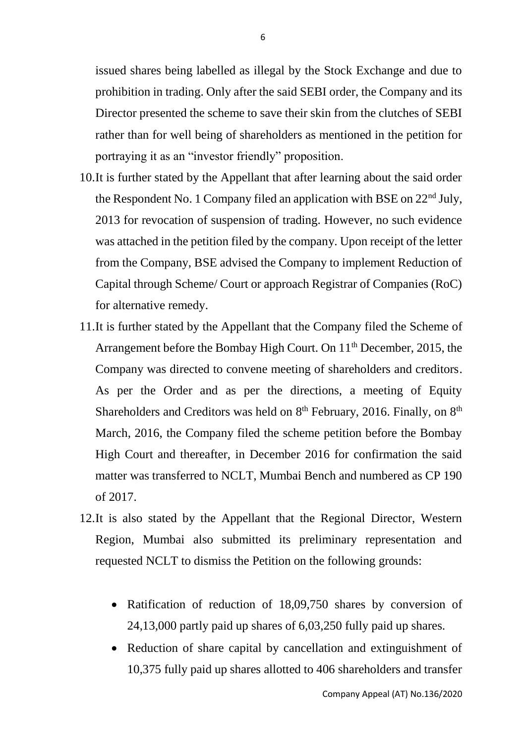issued shares being labelled as illegal by the Stock Exchange and due to prohibition in trading. Only after the said SEBI order, the Company and its Director presented the scheme to save their skin from the clutches of SEBI rather than for well being of shareholders as mentioned in the petition for portraying it as an "investor friendly" proposition.

- 10.It is further stated by the Appellant that after learning about the said order the Respondent No. 1 Company filed an application with BSE on 22nd July, 2013 for revocation of suspension of trading. However, no such evidence was attached in the petition filed by the company. Upon receipt of the letter from the Company, BSE advised the Company to implement Reduction of Capital through Scheme/ Court or approach Registrar of Companies (RoC) for alternative remedy.
- 11.It is further stated by the Appellant that the Company filed the Scheme of Arrangement before the Bombay High Court. On 11<sup>th</sup> December, 2015, the Company was directed to convene meeting of shareholders and creditors. As per the Order and as per the directions, a meeting of Equity Shareholders and Creditors was held on  $8<sup>th</sup>$  February, 2016. Finally, on  $8<sup>th</sup>$ March, 2016, the Company filed the scheme petition before the Bombay High Court and thereafter, in December 2016 for confirmation the said matter was transferred to NCLT, Mumbai Bench and numbered as CP 190 of 2017.
- 12.It is also stated by the Appellant that the Regional Director, Western Region, Mumbai also submitted its preliminary representation and requested NCLT to dismiss the Petition on the following grounds:
	- Ratification of reduction of 18,09,750 shares by conversion of 24,13,000 partly paid up shares of 6,03,250 fully paid up shares.
	- Reduction of share capital by cancellation and extinguishment of 10,375 fully paid up shares allotted to 406 shareholders and transfer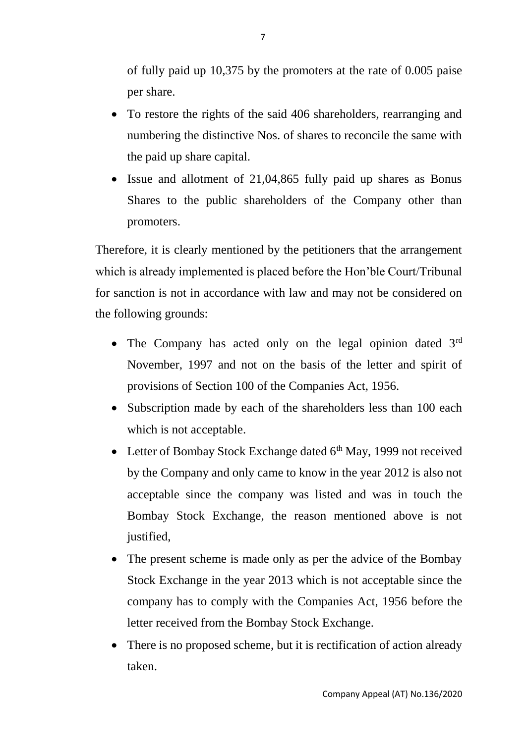of fully paid up 10,375 by the promoters at the rate of 0.005 paise per share.

- To restore the rights of the said 406 shareholders, rearranging and numbering the distinctive Nos. of shares to reconcile the same with the paid up share capital.
- Issue and allotment of 21,04,865 fully paid up shares as Bonus Shares to the public shareholders of the Company other than promoters.

Therefore, it is clearly mentioned by the petitioners that the arrangement which is already implemented is placed before the Hon'ble Court/Tribunal for sanction is not in accordance with law and may not be considered on the following grounds:

- The Company has acted only on the legal opinion dated  $3<sup>rd</sup>$ November, 1997 and not on the basis of the letter and spirit of provisions of Section 100 of the Companies Act, 1956.
- Subscription made by each of the shareholders less than 100 each which is not acceptable.
- Letter of Bombay Stock Exchange dated  $6<sup>th</sup>$  May, 1999 not received by the Company and only came to know in the year 2012 is also not acceptable since the company was listed and was in touch the Bombay Stock Exchange, the reason mentioned above is not justified,
- The present scheme is made only as per the advice of the Bombay Stock Exchange in the year 2013 which is not acceptable since the company has to comply with the Companies Act, 1956 before the letter received from the Bombay Stock Exchange.
- There is no proposed scheme, but it is rectification of action already taken.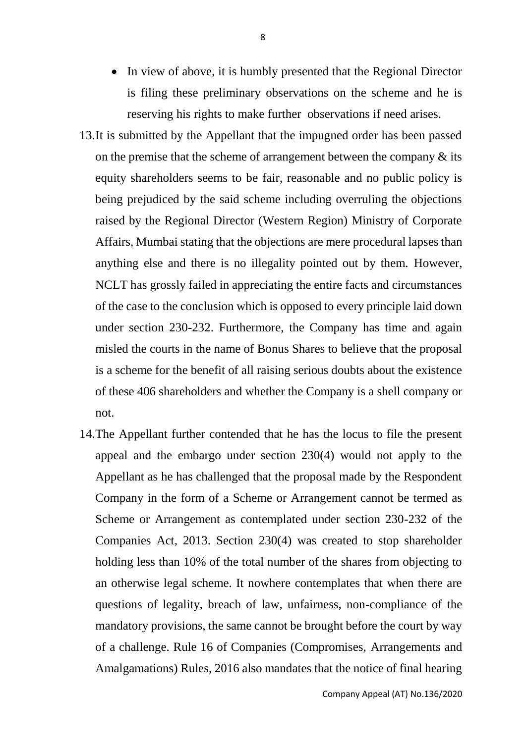- In view of above, it is humbly presented that the Regional Director is filing these preliminary observations on the scheme and he is reserving his rights to make further observations if need arises.
- 13.It is submitted by the Appellant that the impugned order has been passed on the premise that the scheme of arrangement between the company  $\&$  its equity shareholders seems to be fair, reasonable and no public policy is being prejudiced by the said scheme including overruling the objections raised by the Regional Director (Western Region) Ministry of Corporate Affairs, Mumbai stating that the objections are mere procedural lapses than anything else and there is no illegality pointed out by them. However, NCLT has grossly failed in appreciating the entire facts and circumstances of the case to the conclusion which is opposed to every principle laid down under section 230-232. Furthermore, the Company has time and again misled the courts in the name of Bonus Shares to believe that the proposal is a scheme for the benefit of all raising serious doubts about the existence of these 406 shareholders and whether the Company is a shell company or not.
- 14.The Appellant further contended that he has the locus to file the present appeal and the embargo under section 230(4) would not apply to the Appellant as he has challenged that the proposal made by the Respondent Company in the form of a Scheme or Arrangement cannot be termed as Scheme or Arrangement as contemplated under section 230-232 of the Companies Act, 2013. Section 230(4) was created to stop shareholder holding less than 10% of the total number of the shares from objecting to an otherwise legal scheme. It nowhere contemplates that when there are questions of legality, breach of law, unfairness, non-compliance of the mandatory provisions, the same cannot be brought before the court by way of a challenge. Rule 16 of Companies (Compromises, Arrangements and Amalgamations) Rules, 2016 also mandates that the notice of final hearing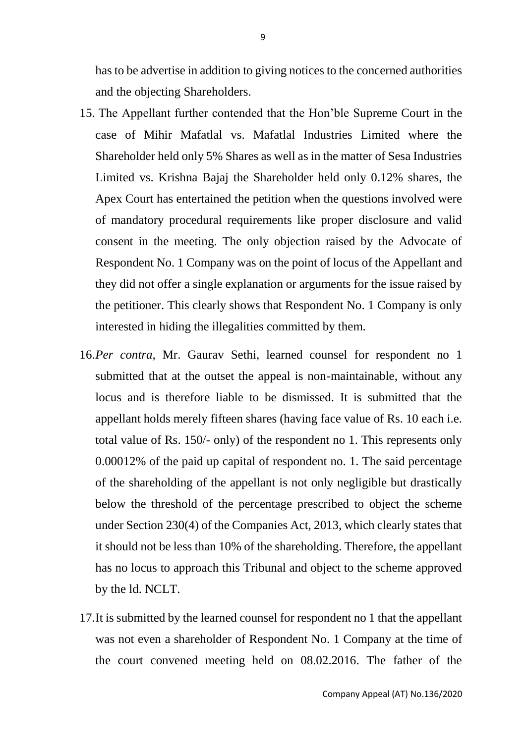has to be advertise in addition to giving notices to the concerned authorities and the objecting Shareholders.

- 15. The Appellant further contended that the Hon'ble Supreme Court in the case of Mihir Mafatlal vs. Mafatlal Industries Limited where the Shareholder held only 5% Shares as well as in the matter of Sesa Industries Limited vs. Krishna Bajaj the Shareholder held only 0.12% shares, the Apex Court has entertained the petition when the questions involved were of mandatory procedural requirements like proper disclosure and valid consent in the meeting. The only objection raised by the Advocate of Respondent No. 1 Company was on the point of locus of the Appellant and they did not offer a single explanation or arguments for the issue raised by the petitioner. This clearly shows that Respondent No. 1 Company is only interested in hiding the illegalities committed by them.
- 16.*Per contra*, Mr. Gaurav Sethi, learned counsel for respondent no 1 submitted that at the outset the appeal is non-maintainable, without any locus and is therefore liable to be dismissed. It is submitted that the appellant holds merely fifteen shares (having face value of Rs. 10 each i.e. total value of Rs. 150/- only) of the respondent no 1. This represents only 0.00012% of the paid up capital of respondent no. 1. The said percentage of the shareholding of the appellant is not only negligible but drastically below the threshold of the percentage prescribed to object the scheme under Section 230(4) of the Companies Act, 2013, which clearly states that it should not be less than 10% of the shareholding. Therefore, the appellant has no locus to approach this Tribunal and object to the scheme approved by the ld. NCLT.
- 17.It is submitted by the learned counsel for respondent no 1 that the appellant was not even a shareholder of Respondent No. 1 Company at the time of the court convened meeting held on 08.02.2016. The father of the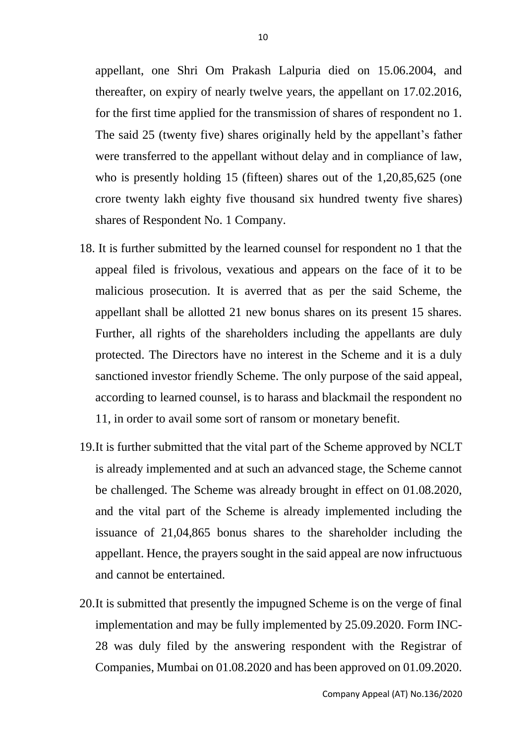appellant, one Shri Om Prakash Lalpuria died on 15.06.2004, and thereafter, on expiry of nearly twelve years, the appellant on 17.02.2016, for the first time applied for the transmission of shares of respondent no 1. The said 25 (twenty five) shares originally held by the appellant's father were transferred to the appellant without delay and in compliance of law, who is presently holding 15 (fifteen) shares out of the 1,20,85,625 (one crore twenty lakh eighty five thousand six hundred twenty five shares) shares of Respondent No. 1 Company.

- 18. It is further submitted by the learned counsel for respondent no 1 that the appeal filed is frivolous, vexatious and appears on the face of it to be malicious prosecution. It is averred that as per the said Scheme, the appellant shall be allotted 21 new bonus shares on its present 15 shares. Further, all rights of the shareholders including the appellants are duly protected. The Directors have no interest in the Scheme and it is a duly sanctioned investor friendly Scheme. The only purpose of the said appeal, according to learned counsel, is to harass and blackmail the respondent no 11, in order to avail some sort of ransom or monetary benefit.
- 19.It is further submitted that the vital part of the Scheme approved by NCLT is already implemented and at such an advanced stage, the Scheme cannot be challenged. The Scheme was already brought in effect on 01.08.2020, and the vital part of the Scheme is already implemented including the issuance of 21,04,865 bonus shares to the shareholder including the appellant. Hence, the prayers sought in the said appeal are now infructuous and cannot be entertained.
- 20.It is submitted that presently the impugned Scheme is on the verge of final implementation and may be fully implemented by 25.09.2020. Form INC-28 was duly filed by the answering respondent with the Registrar of Companies, Mumbai on 01.08.2020 and has been approved on 01.09.2020.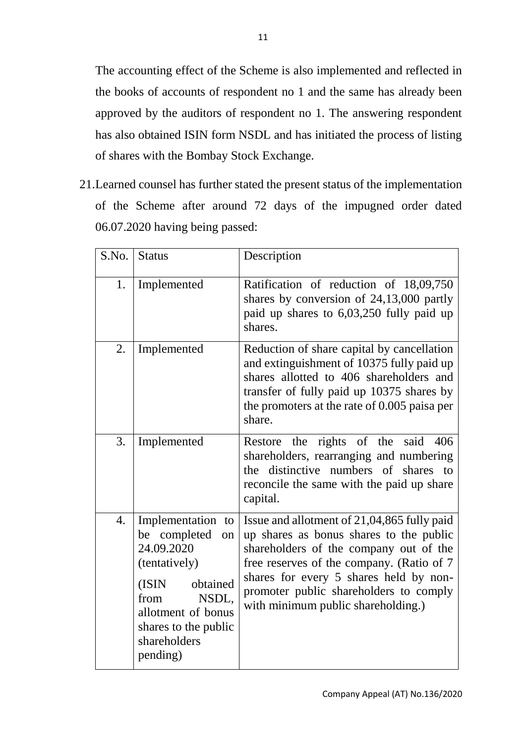The accounting effect of the Scheme is also implemented and reflected in the books of accounts of respondent no 1 and the same has already been approved by the auditors of respondent no 1. The answering respondent has also obtained ISIN form NSDL and has initiated the process of listing of shares with the Bombay Stock Exchange.

21.Learned counsel has further stated the present status of the implementation of the Scheme after around 72 days of the impugned order dated 06.07.2020 having being passed:

| S.No. | <b>Status</b>                                                                                                                                                                           | Description                                                                                                                                                                                                                                                                                             |
|-------|-----------------------------------------------------------------------------------------------------------------------------------------------------------------------------------------|---------------------------------------------------------------------------------------------------------------------------------------------------------------------------------------------------------------------------------------------------------------------------------------------------------|
| 1.    | Implemented                                                                                                                                                                             | Ratification of reduction of 18,09,750<br>shares by conversion of 24,13,000 partly<br>paid up shares to 6,03,250 fully paid up<br>shares.                                                                                                                                                               |
| 2.    | Implemented                                                                                                                                                                             | Reduction of share capital by cancellation<br>and extinguishment of 10375 fully paid up<br>shares allotted to 406 shareholders and<br>transfer of fully paid up 10375 shares by<br>the promoters at the rate of 0.005 paisa per<br>share.                                                               |
| 3.    | Implemented                                                                                                                                                                             | Restore the rights of the said 406<br>shareholders, rearranging and numbering<br>the distinctive numbers of shares to<br>reconcile the same with the paid up share<br>capital.                                                                                                                          |
| 4.    | Implementation to<br>be completed<br>on<br>24.09.2020<br>(tentatively)<br>obtained<br>(ISIN)<br>NSDL,<br>from<br>allotment of bonus<br>shares to the public<br>shareholders<br>pending) | Issue and allotment of 21,04,865 fully paid<br>up shares as bonus shares to the public<br>shareholders of the company out of the<br>free reserves of the company. (Ratio of 7<br>shares for every 5 shares held by non-<br>promoter public shareholders to comply<br>with minimum public shareholding.) |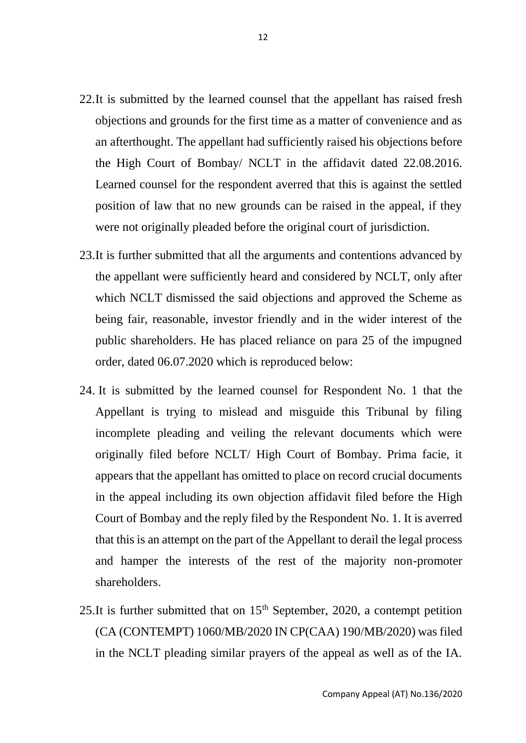- 22.It is submitted by the learned counsel that the appellant has raised fresh objections and grounds for the first time as a matter of convenience and as an afterthought. The appellant had sufficiently raised his objections before the High Court of Bombay/ NCLT in the affidavit dated 22.08.2016. Learned counsel for the respondent averred that this is against the settled position of law that no new grounds can be raised in the appeal, if they were not originally pleaded before the original court of jurisdiction.
- 23.It is further submitted that all the arguments and contentions advanced by the appellant were sufficiently heard and considered by NCLT, only after which NCLT dismissed the said objections and approved the Scheme as being fair, reasonable, investor friendly and in the wider interest of the public shareholders. He has placed reliance on para 25 of the impugned order, dated 06.07.2020 which is reproduced below:
- 24. It is submitted by the learned counsel for Respondent No. 1 that the Appellant is trying to mislead and misguide this Tribunal by filing incomplete pleading and veiling the relevant documents which were originally filed before NCLT/ High Court of Bombay. Prima facie, it appears that the appellant has omitted to place on record crucial documents in the appeal including its own objection affidavit filed before the High Court of Bombay and the reply filed by the Respondent No. 1. It is averred that this is an attempt on the part of the Appellant to derail the legal process and hamper the interests of the rest of the majority non-promoter shareholders.
- 25.It is further submitted that on  $15<sup>th</sup>$  September, 2020, a contempt petition (CA (CONTEMPT) 1060/MB/2020 IN CP(CAA) 190/MB/2020) was filed in the NCLT pleading similar prayers of the appeal as well as of the IA.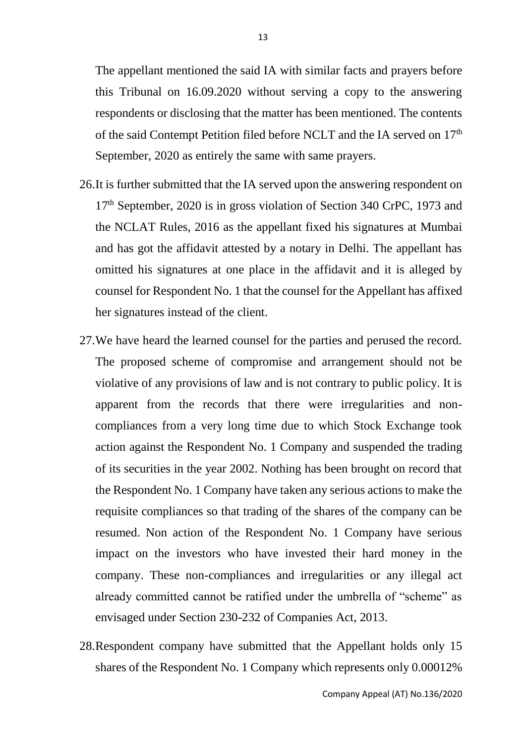The appellant mentioned the said IA with similar facts and prayers before this Tribunal on 16.09.2020 without serving a copy to the answering respondents or disclosing that the matter has been mentioned. The contents of the said Contempt Petition filed before NCLT and the IA served on 17<sup>th</sup> September, 2020 as entirely the same with same prayers.

- 26.It is further submitted that the IA served upon the answering respondent on 17<sup>th</sup> September, 2020 is in gross violation of Section 340 CrPC, 1973 and the NCLAT Rules, 2016 as the appellant fixed his signatures at Mumbai and has got the affidavit attested by a notary in Delhi. The appellant has omitted his signatures at one place in the affidavit and it is alleged by counsel for Respondent No. 1 that the counsel for the Appellant has affixed her signatures instead of the client.
- 27.We have heard the learned counsel for the parties and perused the record. The proposed scheme of compromise and arrangement should not be violative of any provisions of law and is not contrary to public policy. It is apparent from the records that there were irregularities and noncompliances from a very long time due to which Stock Exchange took action against the Respondent No. 1 Company and suspended the trading of its securities in the year 2002. Nothing has been brought on record that the Respondent No. 1 Company have taken any serious actions to make the requisite compliances so that trading of the shares of the company can be resumed. Non action of the Respondent No. 1 Company have serious impact on the investors who have invested their hard money in the company. These non-compliances and irregularities or any illegal act already committed cannot be ratified under the umbrella of "scheme" as envisaged under Section 230-232 of Companies Act, 2013.
- 28.Respondent company have submitted that the Appellant holds only 15 shares of the Respondent No. 1 Company which represents only 0.00012%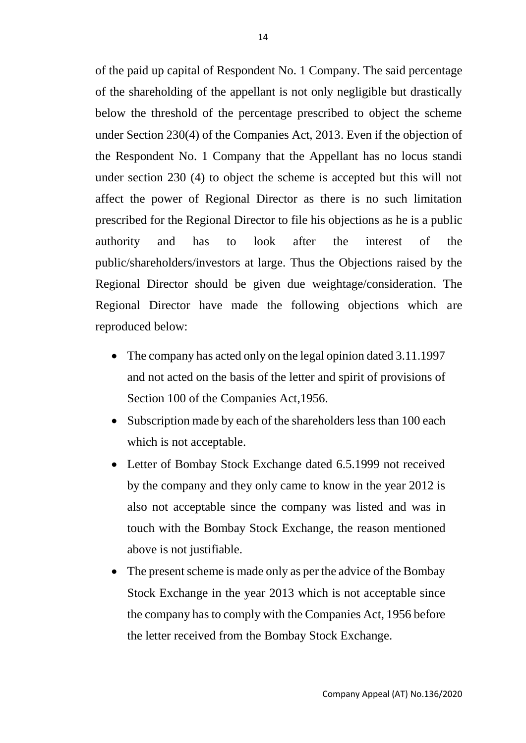of the paid up capital of Respondent No. 1 Company. The said percentage of the shareholding of the appellant is not only negligible but drastically below the threshold of the percentage prescribed to object the scheme under Section 230(4) of the Companies Act, 2013. Even if the objection of the Respondent No. 1 Company that the Appellant has no locus standi under section 230 (4) to object the scheme is accepted but this will not affect the power of Regional Director as there is no such limitation prescribed for the Regional Director to file his objections as he is a public authority and has to look after the interest of the public/shareholders/investors at large. Thus the Objections raised by the Regional Director should be given due weightage/consideration. The Regional Director have made the following objections which are reproduced below:

- The company has acted only on the legal opinion dated 3.11.1997 and not acted on the basis of the letter and spirit of provisions of Section 100 of the Companies Act,1956.
- Subscription made by each of the shareholders less than 100 each which is not acceptable.
- Letter of Bombay Stock Exchange dated 6.5.1999 not received by the company and they only came to know in the year 2012 is also not acceptable since the company was listed and was in touch with the Bombay Stock Exchange, the reason mentioned above is not justifiable.
- The present scheme is made only as per the advice of the Bombay Stock Exchange in the year 2013 which is not acceptable since the company has to comply with the Companies Act, 1956 before the letter received from the Bombay Stock Exchange.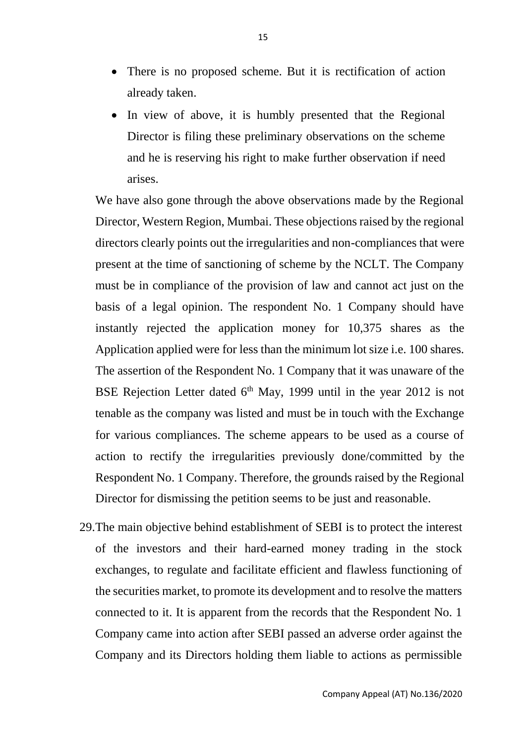- There is no proposed scheme. But it is rectification of action already taken.
- In view of above, it is humbly presented that the Regional Director is filing these preliminary observations on the scheme and he is reserving his right to make further observation if need arises.

We have also gone through the above observations made by the Regional Director, Western Region, Mumbai. These objections raised by the regional directors clearly points out the irregularities and non-compliances that were present at the time of sanctioning of scheme by the NCLT. The Company must be in compliance of the provision of law and cannot act just on the basis of a legal opinion. The respondent No. 1 Company should have instantly rejected the application money for 10,375 shares as the Application applied were for less than the minimum lot size i.e. 100 shares. The assertion of the Respondent No. 1 Company that it was unaware of the BSE Rejection Letter dated  $6<sup>th</sup>$  May, 1999 until in the year 2012 is not tenable as the company was listed and must be in touch with the Exchange for various compliances. The scheme appears to be used as a course of action to rectify the irregularities previously done/committed by the Respondent No. 1 Company. Therefore, the grounds raised by the Regional Director for dismissing the petition seems to be just and reasonable.

29.The main objective behind establishment of SEBI is to protect the interest of the investors and their hard-earned money trading in the stock exchanges, to regulate and facilitate efficient and flawless functioning of the securities market, to promote its development and to resolve the matters connected to it. It is apparent from the records that the Respondent No. 1 Company came into action after SEBI passed an adverse order against the Company and its Directors holding them liable to actions as permissible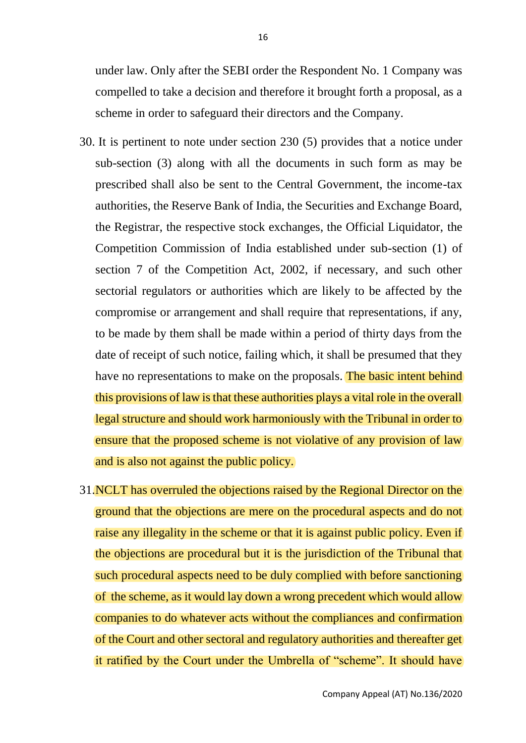under law. Only after the SEBI order the Respondent No. 1 Company was compelled to take a decision and therefore it brought forth a proposal, as a scheme in order to safeguard their directors and the Company.

- 30. It is pertinent to note under section 230 (5) provides that a notice under sub-section (3) along with all the documents in such form as may be prescribed shall also be sent to the Central Government, the income-tax authorities, the Reserve Bank of India, the Securities and Exchange Board, the Registrar, the respective stock exchanges, the Official Liquidator, the Competition Commission of India established under sub-section (1) of section 7 of the Competition Act, 2002, if necessary, and such other sectorial regulators or authorities which are likely to be affected by the compromise or arrangement and shall require that representations, if any, to be made by them shall be made within a period of thirty days from the date of receipt of such notice, failing which, it shall be presumed that they have no representations to make on the proposals. The basic intent behind this provisions of law is that these authorities plays a vital role in the overall legal structure and should work harmoniously with the Tribunal in order to ensure that the proposed scheme is not violative of any provision of law and is also not against the public policy.
- 31. NCLT has overruled the objections raised by the Regional Director on the ground that the objections are mere on the procedural aspects and do not raise any illegality in the scheme or that it is against public policy. Even if the objections are procedural but it is the jurisdiction of the Tribunal that such procedural aspects need to be duly complied with before sanctioning of the scheme, as it would lay down a wrong precedent which would allow companies to do whatever acts without the compliances and confirmation of the Court and other sectoral and regulatory authorities and thereafter get it ratified by the Court under the Umbrella of "scheme". It should have